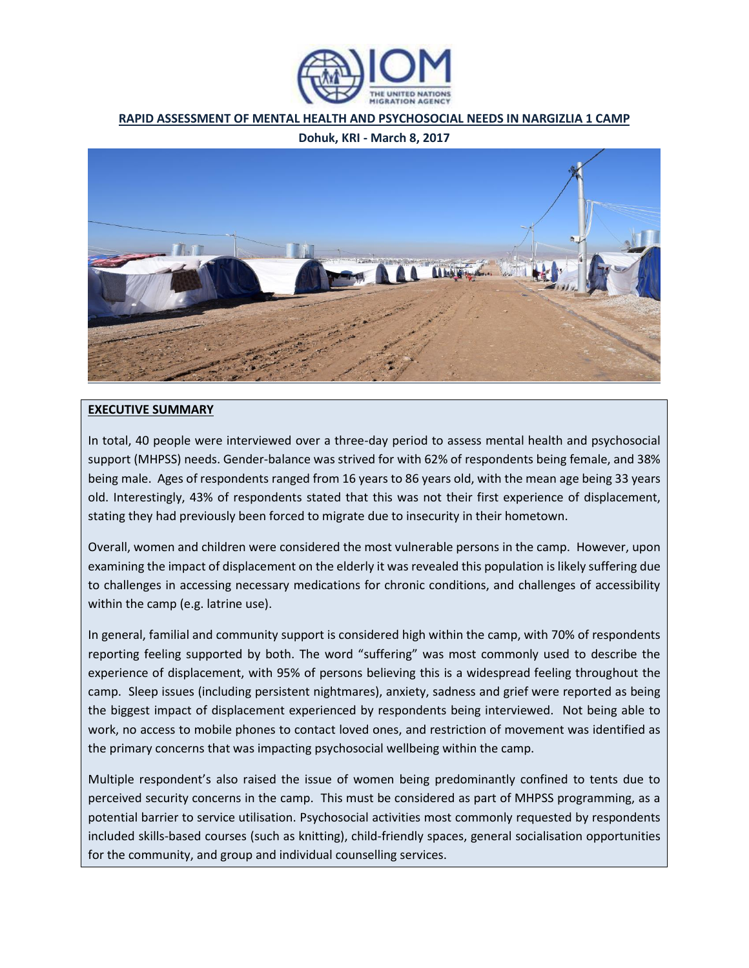

#### **RAPID ASSESSMENT OF MENTAL HEALTH AND PSYCHOSOCIAL NEEDS IN NARGIZLIA 1 CAMP**

**Dohuk, KRI - March 8, 2017**



#### **EXECUTIVE SUMMARY**

In total, 40 people were interviewed over a three-day period to assess mental health and psychosocial support (MHPSS) needs. Gender-balance was strived for with 62% of respondents being female, and 38% being male. Ages of respondents ranged from 16 years to 86 years old, with the mean age being 33 years old. Interestingly, 43% of respondents stated that this was not their first experience of displacement, stating they had previously been forced to migrate due to insecurity in their hometown.

Overall, women and children were considered the most vulnerable persons in the camp. However, upon examining the impact of displacement on the elderly it was revealed this population is likely suffering due to challenges in accessing necessary medications for chronic conditions, and challenges of accessibility within the camp (e.g. latrine use).

In general, familial and community support is considered high within the camp, with 70% of respondents reporting feeling supported by both. The word "suffering" was most commonly used to describe the experience of displacement, with 95% of persons believing this is a widespread feeling throughout the camp. Sleep issues (including persistent nightmares), anxiety, sadness and grief were reported as being the biggest impact of displacement experienced by respondents being interviewed. Not being able to work, no access to mobile phones to contact loved ones, and restriction of movement was identified as the primary concerns that was impacting psychosocial wellbeing within the camp.

Multiple respondent's also raised the issue of women being predominantly confined to tents due to perceived security concerns in the camp. This must be considered as part of MHPSS programming, as a potential barrier to service utilisation. Psychosocial activities most commonly requested by respondents included skills-based courses (such as knitting), child-friendly spaces, general socialisation opportunities for the community, and group and individual counselling services.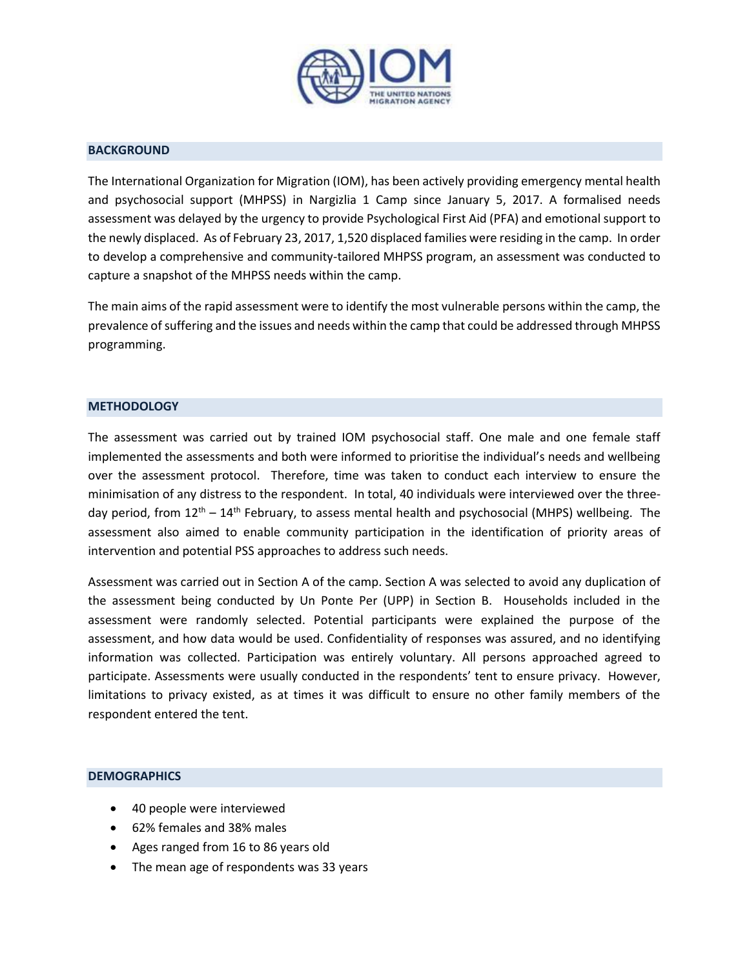

#### **BACKGROUND**

The International Organization for Migration (IOM), has been actively providing emergency mental health and psychosocial support (MHPSS) in Nargizlia 1 Camp since January 5, 2017. A formalised needs assessment was delayed by the urgency to provide Psychological First Aid (PFA) and emotional support to the newly displaced. As of February 23, 2017, 1,520 displaced families were residing in the camp. In order to develop a comprehensive and community-tailored MHPSS program, an assessment was conducted to capture a snapshot of the MHPSS needs within the camp.

The main aims of the rapid assessment were to identify the most vulnerable persons within the camp, the prevalence of suffering and the issues and needs within the camp that could be addressed through MHPSS programming.

#### **METHODOLOGY**

The assessment was carried out by trained IOM psychosocial staff. One male and one female staff implemented the assessments and both were informed to prioritise the individual's needs and wellbeing over the assessment protocol. Therefore, time was taken to conduct each interview to ensure the minimisation of any distress to the respondent. In total, 40 individuals were interviewed over the threeday period, from  $12^{\text{th}} - 14^{\text{th}}$  February, to assess mental health and psychosocial (MHPS) wellbeing. The assessment also aimed to enable community participation in the identification of priority areas of intervention and potential PSS approaches to address such needs.

Assessment was carried out in Section A of the camp. Section A was selected to avoid any duplication of the assessment being conducted by Un Ponte Per (UPP) in Section B. Households included in the assessment were randomly selected. Potential participants were explained the purpose of the assessment, and how data would be used. Confidentiality of responses was assured, and no identifying information was collected. Participation was entirely voluntary. All persons approached agreed to participate. Assessments were usually conducted in the respondents' tent to ensure privacy. However, limitations to privacy existed, as at times it was difficult to ensure no other family members of the respondent entered the tent.

#### **DEMOGRAPHICS**

- 40 people were interviewed
- 62% females and 38% males
- Ages ranged from 16 to 86 years old
- The mean age of respondents was 33 years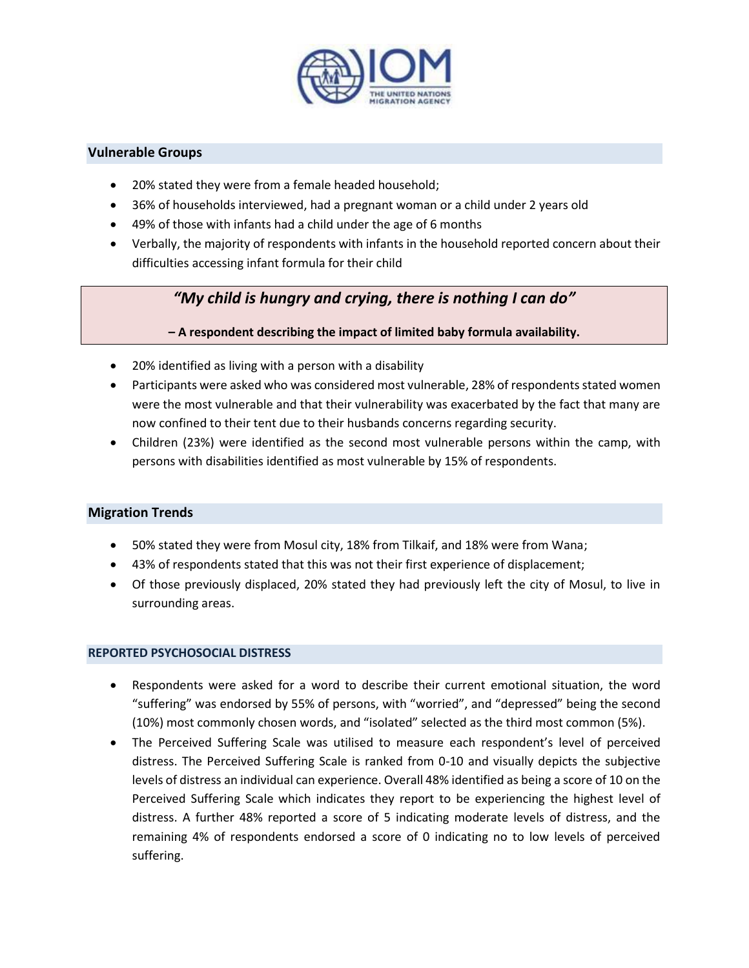

#### **Vulnerable Groups**

- 20% stated they were from a female headed household;
- 36% of households interviewed, had a pregnant woman or a child under 2 years old
- 49% of those with infants had a child under the age of 6 months
- Verbally, the majority of respondents with infants in the household reported concern about their difficulties accessing infant formula for their child

### *"My child is hungry and crying, there is nothing I can do"*

#### **– A respondent describing the impact of limited baby formula availability.**

- 20% identified as living with a person with a disability
- Participants were asked who was considered most vulnerable, 28% of respondents stated women were the most vulnerable and that their vulnerability was exacerbated by the fact that many are now confined to their tent due to their husbands concerns regarding security.
- Children (23%) were identified as the second most vulnerable persons within the camp, with persons with disabilities identified as most vulnerable by 15% of respondents.

#### **Migration Trends**

- 50% stated they were from Mosul city, 18% from Tilkaif, and 18% were from Wana;
- 43% of respondents stated that this was not their first experience of displacement;
- Of those previously displaced, 20% stated they had previously left the city of Mosul, to live in surrounding areas.

#### **REPORTED PSYCHOSOCIAL DISTRESS**

- Respondents were asked for a word to describe their current emotional situation, the word "suffering" was endorsed by 55% of persons, with "worried", and "depressed" being the second (10%) most commonly chosen words, and "isolated" selected as the third most common (5%).
- The Perceived Suffering Scale was utilised to measure each respondent's level of perceived distress. The Perceived Suffering Scale is ranked from 0-10 and visually depicts the subjective levels of distress an individual can experience. Overall 48% identified as being a score of 10 on the Perceived Suffering Scale which indicates they report to be experiencing the highest level of distress. A further 48% reported a score of 5 indicating moderate levels of distress, and the remaining 4% of respondents endorsed a score of 0 indicating no to low levels of perceived suffering.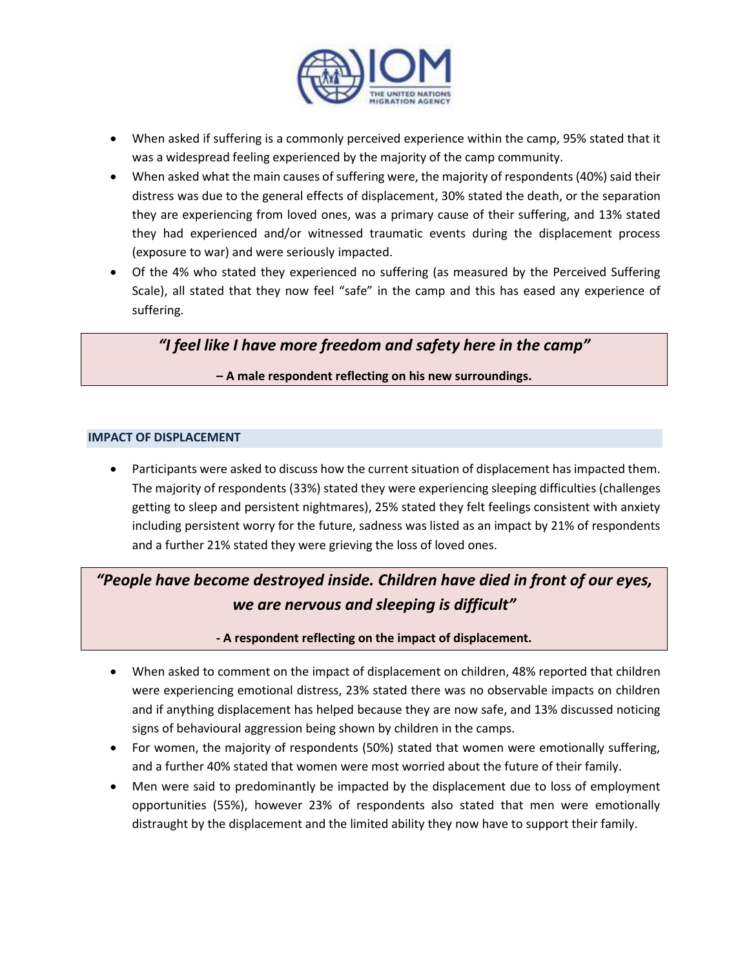

- When asked if suffering is a commonly perceived experience within the camp, 95% stated that it was a widespread feeling experienced by the majority of the camp community.
- When asked what the main causes of suffering were, the majority of respondents (40%) said their distress was due to the general effects of displacement, 30% stated the death, or the separation they are experiencing from loved ones, was a primary cause of their suffering, and 13% stated they had experienced and/or witnessed traumatic events during the displacement process (exposure to war) and were seriously impacted.
- Of the 4% who stated they experienced no suffering (as measured by the Perceived Suffering Scale), all stated that they now feel "safe" in the camp and this has eased any experience of suffering.

### *"I feel like I have more freedom and safety here in the camp"*

#### **– A male respondent reflecting on his new surroundings.**

#### **IMPACT OF DISPLACEMENT**

 Participants were asked to discuss how the current situation of displacement has impacted them. The majority of respondents (33%) stated they were experiencing sleeping difficulties (challenges getting to sleep and persistent nightmares), 25% stated they felt feelings consistent with anxiety including persistent worry for the future, sadness was listed as an impact by 21% of respondents and a further 21% stated they were grieving the loss of loved ones.

### *"People have become destroyed inside. Children have died in front of our eyes, we are nervous and sleeping is difficult"*

**- A respondent reflecting on the impact of displacement.**

- When asked to comment on the impact of displacement on children, 48% reported that children were experiencing emotional distress, 23% stated there was no observable impacts on children and if anything displacement has helped because they are now safe, and 13% discussed noticing signs of behavioural aggression being shown by children in the camps.
- For women, the majority of respondents (50%) stated that women were emotionally suffering, and a further 40% stated that women were most worried about the future of their family.
- Men were said to predominantly be impacted by the displacement due to loss of employment opportunities (55%), however 23% of respondents also stated that men were emotionally distraught by the displacement and the limited ability they now have to support their family.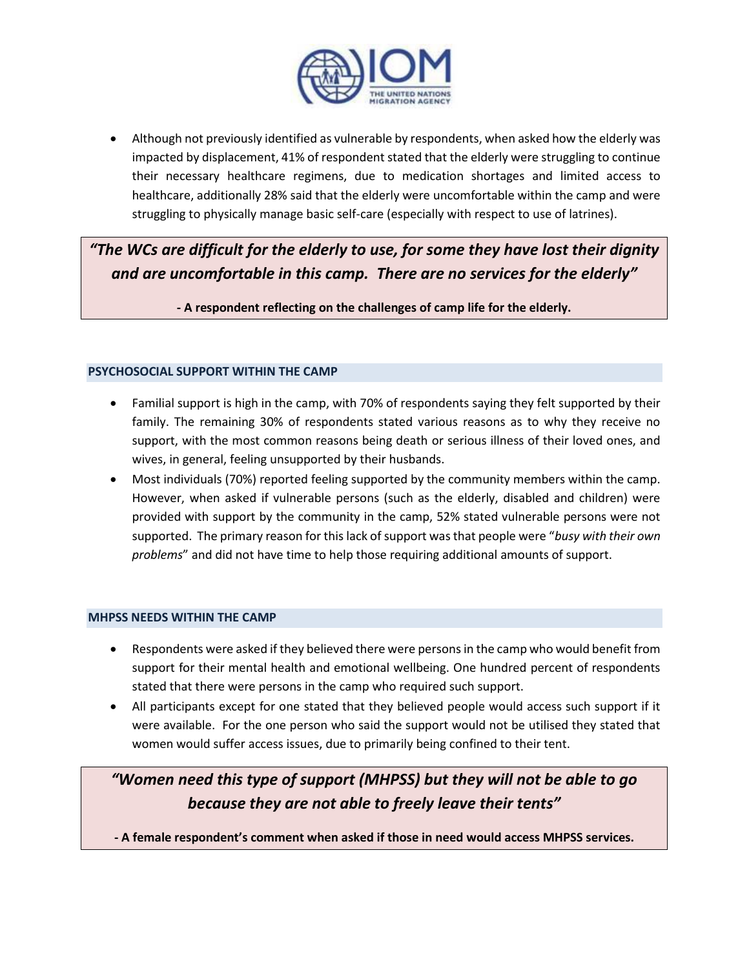

 Although not previously identified as vulnerable by respondents, when asked how the elderly was impacted by displacement, 41% of respondent stated that the elderly were struggling to continue their necessary healthcare regimens, due to medication shortages and limited access to healthcare, additionally 28% said that the elderly were uncomfortable within the camp and were struggling to physically manage basic self-care (especially with respect to use of latrines).

*"The WCs are difficult for the elderly to use, for some they have lost their dignity and are uncomfortable in this camp. There are no services for the elderly"*

**- A respondent reflecting on the challenges of camp life for the elderly.**

#### **PSYCHOSOCIAL SUPPORT WITHIN THE CAMP**

- Familial support is high in the camp, with 70% of respondents saying they felt supported by their family. The remaining 30% of respondents stated various reasons as to why they receive no support, with the most common reasons being death or serious illness of their loved ones, and wives, in general, feeling unsupported by their husbands.
- Most individuals (70%) reported feeling supported by the community members within the camp. However, when asked if vulnerable persons (such as the elderly, disabled and children) were provided with support by the community in the camp, 52% stated vulnerable persons were not supported. The primary reason for this lack of support was that people were "*busy with their own problems*" and did not have time to help those requiring additional amounts of support.

#### **MHPSS NEEDS WITHIN THE CAMP**

- Respondents were asked if they believed there were persons in the camp who would benefit from support for their mental health and emotional wellbeing. One hundred percent of respondents stated that there were persons in the camp who required such support.
- All participants except for one stated that they believed people would access such support if it were available. For the one person who said the support would not be utilised they stated that women would suffer access issues, due to primarily being confined to their tent.

# *"Women need this type of support (MHPSS) but they will not be able to go because they are not able to freely leave their tents"*

**- A female respondent's comment when asked if those in need would access MHPSS services.**